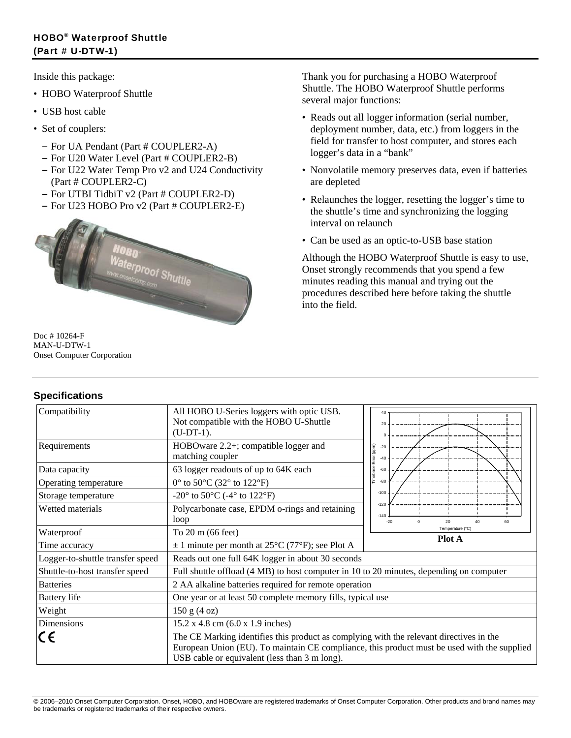Inside this package:

- HOBO Waterproof Shuttle
- USB host cable
- Set of couplers:
	- For UA Pendant (Part # COUPLER2-A)
	- For U20 Water Level (Part # COUPLER2-B)
	- For U22 Water Temp Pro v2 and U24 Conductivity (Part # COUPLER2-C)
	- For UTBI TidbiT v2 (Part # COUPLER2-D)
	- For U23 HOBO Pro v2 (Part # COUPLER2-E)



Doc # 10264-F MAN-U-DTW-1 Onset Computer Corporation

# **Specifications**

Thank you for purchasing a HOBO Waterproof Shuttle. The HOBO Waterproof Shuttle performs several major functions:

- Reads out all logger information (serial number, deployment number, data, etc.) from loggers in the field for transfer to host computer, and stores each logger's data in a "bank"
- Nonvolatile memory preserves data, even if batteries are depleted
- Relaunches the logger, resetting the logger's time to the shuttle's time and synchronizing the logging interval on relaunch
- Can be used as an optic-to-USB base station

Although the HOBO Waterproof Shuttle is easy to use, Onset strongly recommends that you spend a few minutes reading this manual and trying out the procedures described here before taking the shuttle into the field.

| Compatibility                    | All HOBO U-Series loggers with optic USB.<br>Not compatible with the HOBO U-Shuttle<br>$(U-DT-1).$ | 40                                          |
|----------------------------------|----------------------------------------------------------------------------------------------------|---------------------------------------------|
| Requirements                     | HOBOware 2.2+; compatible logger and<br>matching coupler                                           | (ppm)<br>$-20$<br>Error<br>$-40$            |
| Data capacity                    | 63 logger readouts of up to 64K each                                                               | Timebase<br>$-60$                           |
| Operating temperature            | $0^{\circ}$ to 50 $^{\circ}$ C (32 $^{\circ}$ to 122 $^{\circ}$ F)                                 | $-80$                                       |
| Storage temperature              | $-20^{\circ}$ to 50 $^{\circ}$ C (-4 $^{\circ}$ to 122 $^{\circ}$ F)                               | $-100$                                      |
| Wetted materials                 | Polycarbonate case, EPDM o-rings and retaining<br>loop                                             | $-120$<br>$-140$<br>$-20$<br>20<br>40<br>60 |
| Waterproof                       | To 20 m (66 feet)                                                                                  | Temperature (°C)                            |
| Time accuracy                    | $\pm$ 1 minute per month at 25 <sup>o</sup> C (77 <sup>o</sup> F); see Plot A                      | <b>Plot A</b>                               |
| Logger-to-shuttle transfer speed | Reads out one full 64K logger in about 30 seconds                                                  |                                             |
| Shuttle-to-host transfer speed   | Full shuttle offload (4 MB) to host computer in 10 to 20 minutes, depending on computer            |                                             |
| <b>Batteries</b>                 | 2 AA alkaline batteries required for remote operation                                              |                                             |
|                                  |                                                                                                    |                                             |
| <b>Battery</b> life              | One year or at least 50 complete memory fills, typical use                                         |                                             |
| Weight                           | 150 g (4 oz)                                                                                       |                                             |
| Dimensions                       | 15.2 x 4.8 cm (6.0 x 1.9 inches)                                                                   |                                             |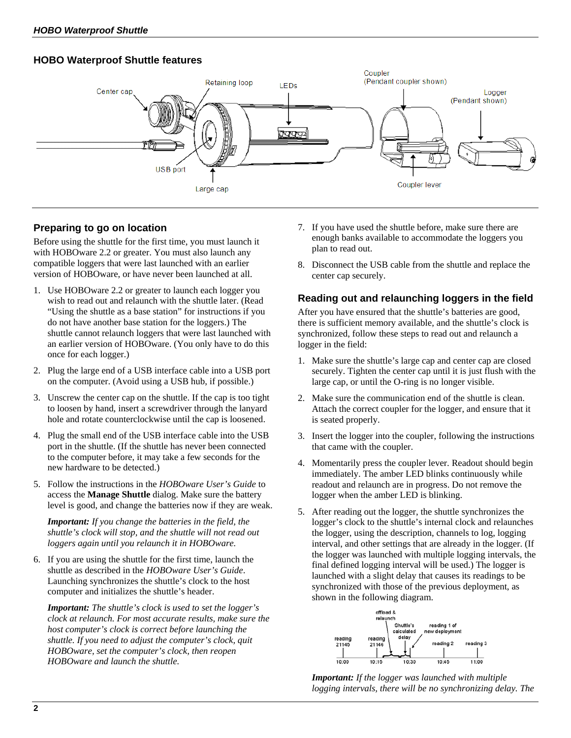## **HOBO Waterproof Shuttle features**



# **Preparing to go on location**

Before using the shuttle for the first time, you must launch it with HOBOware 2.2 or greater. You must also launch any compatible loggers that were last launched with an earlier version of HOBOware, or have never been launched at all.

- 1. Use HOBOware 2.2 or greater to launch each logger you wish to read out and relaunch with the shuttle later. (Read "Using the shuttle as a base station" for instructions if you do not have another base station for the loggers.) The shuttle cannot relaunch loggers that were last launched with an earlier version of HOBOware. (You only have to do this once for each logger.)
- 2. Plug the large end of a USB interface cable into a USB port on the computer. (Avoid using a USB hub, if possible.)
- 3. Unscrew the center cap on the shuttle. If the cap is too tight to loosen by hand, insert a screwdriver through the lanyard hole and rotate counterclockwise until the cap is loosened.
- 4. Plug the small end of the USB interface cable into the USB port in the shuttle. (If the shuttle has never been connected to the computer before, it may take a few seconds for the new hardware to be detected.)
- 5. Follow the instructions in the *HOBOware User's Guide* to access the **Manage Shuttle** dialog. Make sure the battery level is good, and change the batteries now if they are weak.

*Important: If you change the batteries in the field, the shuttle's clock will stop, and the shuttle will not read out loggers again until you relaunch it in HOBOware.* 

6. If you are using the shuttle for the first time, launch the shuttle as described in the *HOBOware User's Guide*. Launching synchronizes the shuttle's clock to the host computer and initializes the shuttle's header.

*Important: The shuttle's clock is used to set the logger's clock at relaunch. For most accurate results, make sure the host computer's clock is correct before launching the shuttle. If you need to adjust the computer's clock, quit HOBOware, set the computer's clock, then reopen HOBOware and launch the shuttle.* 

- 7. If you have used the shuttle before, make sure there are enough banks available to accommodate the loggers you plan to read out.
- 8. Disconnect the USB cable from the shuttle and replace the center cap securely.

## **Reading out and relaunching loggers in the field**

After you have ensured that the shuttle's batteries are good, there is sufficient memory available, and the shuttle's clock is synchronized, follow these steps to read out and relaunch a logger in the field:

- 1. Make sure the shuttle's large cap and center cap are closed securely. Tighten the center cap until it is just flush with the large cap, or until the O-ring is no longer visible.
- 2. Make sure the communication end of the shuttle is clean. Attach the correct coupler for the logger, and ensure that it is seated properly.
- 3. Insert the logger into the coupler, following the instructions that came with the coupler.
- 4. Momentarily press the coupler lever. Readout should begin immediately. The amber LED blinks continuously while readout and relaunch are in progress. Do not remove the logger when the amber LED is blinking.
- 5. After reading out the logger, the shuttle synchronizes the logger's clock to the shuttle's internal clock and relaunches the logger, using the description, channels to log, logging interval, and other settings that are already in the logger. (If the logger was launched with multiple logging intervals, the final defined logging interval will be used.) The logger is launched with a slight delay that causes its readings to be synchronized with those of the previous deployment, as shown in the following diagram.



*Important: If the logger was launched with multiple logging intervals, there will be no synchronizing delay. The*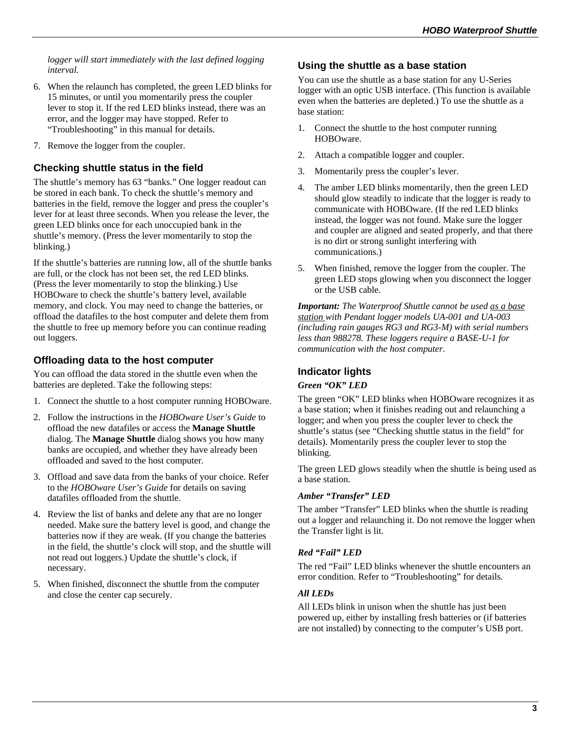*logger will start immediately with the last defined logging interval.* 

- 6. When the relaunch has completed, the green LED blinks for 15 minutes, or until you momentarily press the coupler lever to stop it. If the red LED blinks instead, there was an error, and the logger may have stopped. Refer to "Troubleshooting" in this manual for details.
- 7. Remove the logger from the coupler.

# **Checking shuttle status in the field**

The shuttle's memory has 63 "banks." One logger readout can be stored in each bank. To check the shuttle's memory and batteries in the field, remove the logger and press the coupler's lever for at least three seconds. When you release the lever, the green LED blinks once for each unoccupied bank in the shuttle's memory. (Press the lever momentarily to stop the blinking.)

If the shuttle's batteries are running low, all of the shuttle banks are full, or the clock has not been set, the red LED blinks. (Press the lever momentarily to stop the blinking.) Use HOBOware to check the shuttle's battery level, available memory, and clock. You may need to change the batteries, or offload the datafiles to the host computer and delete them from the shuttle to free up memory before you can continue reading out loggers.

### **Offloading data to the host computer**

You can offload the data stored in the shuttle even when the batteries are depleted. Take the following steps:

- 1. Connect the shuttle to a host computer running HOBOware.
- 2. Follow the instructions in the *HOBOware User's Guide* to offload the new datafiles or access the **Manage Shuttle**  dialog. The **Manage Shuttle** dialog shows you how many banks are occupied, and whether they have already been offloaded and saved to the host computer.
- 3. Offload and save data from the banks of your choice. Refer to the *HOBOware User's Guide* for details on saving datafiles offloaded from the shuttle.
- 4. Review the list of banks and delete any that are no longer needed. Make sure the battery level is good, and change the batteries now if they are weak. (If you change the batteries in the field, the shuttle's clock will stop, and the shuttle will not read out loggers.) Update the shuttle's clock, if necessary.
- 5. When finished, disconnect the shuttle from the computer and close the center cap securely.

### **Using the shuttle as a base station**

You can use the shuttle as a base station for any U-Series logger with an optic USB interface. (This function is available even when the batteries are depleted.) To use the shuttle as a base station:

- 1. Connect the shuttle to the host computer running HOBOware.
- 2. Attach a compatible logger and coupler.
- 3. Momentarily press the coupler's lever.
- 4. The amber LED blinks momentarily, then the green LED should glow steadily to indicate that the logger is ready to communicate with HOBOware. (If the red LED blinks instead, the logger was not found. Make sure the logger and coupler are aligned and seated properly, and that there is no dirt or strong sunlight interfering with communications.)
- 5. When finished, remove the logger from the coupler. The green LED stops glowing when you disconnect the logger or the USB cable.

*Important: The Waterproof Shuttle cannot be used as a base station with Pendant logger models UA-001 and UA-003 (including rain gauges RG3 and RG3-M) with serial numbers less than 988278. These loggers require a BASE-U-1 for communication with the host computer.* 

# **Indicator lights**

#### *Green "OK" LED*

The green "OK" LED blinks when HOBOware recognizes it as a base station; when it finishes reading out and relaunching a logger; and when you press the coupler lever to check the shuttle's status (see "Checking shuttle status in the field" for details). Momentarily press the coupler lever to stop the blinking.

The green LED glows steadily when the shuttle is being used as a base station.

#### *Amber "Transfer" LED*

The amber "Transfer" LED blinks when the shuttle is reading out a logger and relaunching it. Do not remove the logger when the Transfer light is lit.

#### *Red "Fail" LED*

The red "Fail" LED blinks whenever the shuttle encounters an error condition. Refer to "Troubleshooting" for details.

#### *All LEDs*

All LEDs blink in unison when the shuttle has just been powered up, either by installing fresh batteries or (if batteries are not installed) by connecting to the computer's USB port.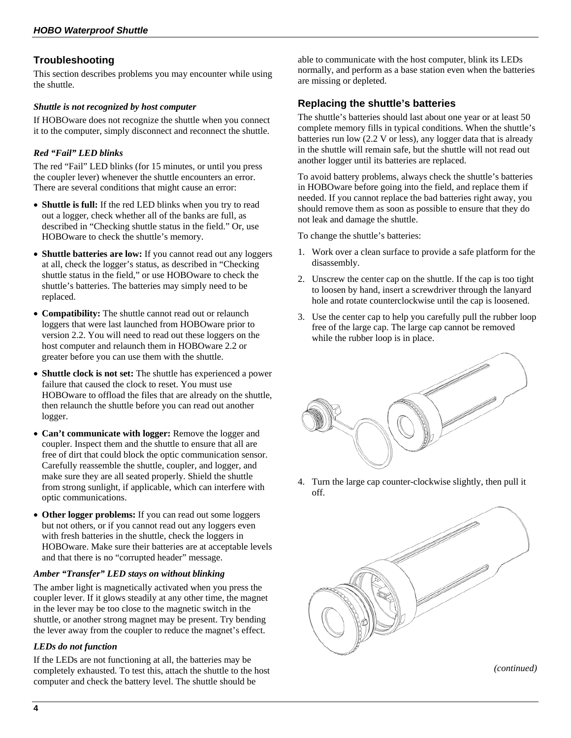## **Troubleshooting**

This section describes problems you may encounter while using the shuttle.

#### *Shuttle is not recognized by host computer*

If HOBOware does not recognize the shuttle when you connect it to the computer, simply disconnect and reconnect the shuttle.

#### *Red "Fail" LED blinks*

The red "Fail" LED blinks (for 15 minutes, or until you press the coupler lever) whenever the shuttle encounters an error. There are several conditions that might cause an error:

- **Shuttle is full:** If the red LED blinks when you try to read out a logger, check whether all of the banks are full, as described in "Checking shuttle status in the field." Or, use HOBOware to check the shuttle's memory.
- **Shuttle batteries are low:** If you cannot read out any loggers at all, check the logger's status, as described in "Checking shuttle status in the field," or use HOBOware to check the shuttle's batteries. The batteries may simply need to be replaced.
- **Compatibility:** The shuttle cannot read out or relaunch loggers that were last launched from HOBOware prior to version 2.2. You will need to read out these loggers on the host computer and relaunch them in HOBOware 2.2 or greater before you can use them with the shuttle.
- **Shuttle clock is not set:** The shuttle has experienced a power failure that caused the clock to reset. You must use HOBOware to offload the files that are already on the shuttle, then relaunch the shuttle before you can read out another logger.
- **Can't communicate with logger:** Remove the logger and coupler. Inspect them and the shuttle to ensure that all are free of dirt that could block the optic communication sensor. Carefully reassemble the shuttle, coupler, and logger, and make sure they are all seated properly. Shield the shuttle from strong sunlight, if applicable, which can interfere with optic communications.
- **Other logger problems:** If you can read out some loggers but not others, or if you cannot read out any loggers even with fresh batteries in the shuttle, check the loggers in HOBOware. Make sure their batteries are at acceptable levels and that there is no "corrupted header" message.

#### *Amber "Transfer" LED stays on without blinking*

The amber light is magnetically activated when you press the coupler lever. If it glows steadily at any other time, the magnet in the lever may be too close to the magnetic switch in the shuttle, or another strong magnet may be present. Try bending the lever away from the coupler to reduce the magnet's effect.

#### *LEDs do not function*

If the LEDs are not functioning at all, the batteries may be completely exhausted. To test this, attach the shuttle to the host computer and check the battery level. The shuttle should be

able to communicate with the host computer, blink its LEDs normally, and perform as a base station even when the batteries are missing or depleted.

### **Replacing the shuttle's batteries**

The shuttle's batteries should last about one year or at least 50 complete memory fills in typical conditions. When the shuttle's batteries run low (2.2 V or less), any logger data that is already in the shuttle will remain safe, but the shuttle will not read out another logger until its batteries are replaced.

To avoid battery problems, always check the shuttle's batteries in HOBOware before going into the field, and replace them if needed. If you cannot replace the bad batteries right away, you should remove them as soon as possible to ensure that they do not leak and damage the shuttle.

To change the shuttle's batteries:

- 1. Work over a clean surface to provide a safe platform for the disassembly.
- 2. Unscrew the center cap on the shuttle. If the cap is too tight to loosen by hand, insert a screwdriver through the lanyard hole and rotate counterclockwise until the cap is loosened.
- 3. Use the center cap to help you carefully pull the rubber loop free of the large cap. The large cap cannot be removed while the rubber loop is in place.



4. Turn the large cap counter-clockwise slightly, then pull it off.



*(continued)*